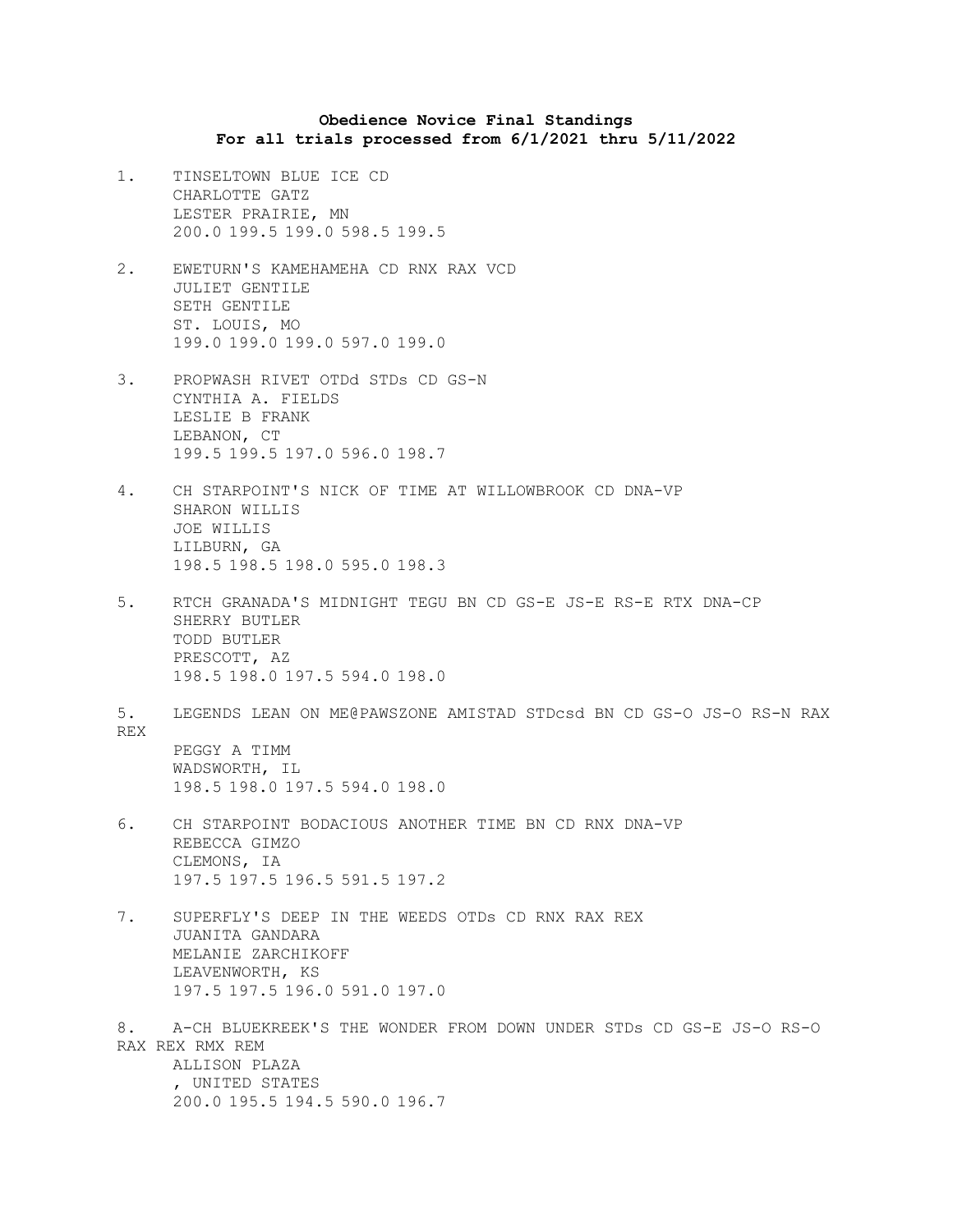## **Obedience Novice Final Standings For all trials processed from 6/1/2021 thru 5/11/2022**

- 1. TINSELTOWN BLUE ICE CD CHARLOTTE GATZ LESTER PRAIRIE, MN 200.0 199.5 199.0 598.5 199.5
- 2. EWETURN'S KAMEHAMEHA CD RNX RAX VCD JULIET GENTILE SETH GENTILE ST. LOUIS, MO 199.0 199.0 199.0 597.0 199.0
- 3. PROPWASH RIVET OTDd STDs CD GS-N CYNTHIA A. FIELDS LESLIE B FRANK LEBANON, CT 199.5 199.5 197.0 596.0 198.7
- 4. CH STARPOINT'S NICK OF TIME AT WILLOWBROOK CD DNA-VP SHARON WILLIS JOE WILLIS LILBURN, GA 198.5 198.5 198.0 595.0 198.3
- 5. RTCH GRANADA'S MIDNIGHT TEGU BN CD GS-E JS-E RS-E RTX DNA-CP SHERRY BUTLER TODD BUTLER PRESCOTT, AZ 198.5 198.0 197.5 594.0 198.0
- 5. LEGENDS LEAN ON ME@PAWSZONE AMISTAD STDcsd BN CD GS-O JS-O RS-N RAX REX PEGGY A TIMM WADSWORTH, IL 198.5 198.0 197.5 594.0 198.0
- 6. CH STARPOINT BODACIOUS ANOTHER TIME BN CD RNX DNA-VP REBECCA GIMZO CLEMONS, IA 197.5 197.5 196.5 591.5 197.2
- 7. SUPERFLY'S DEEP IN THE WEEDS OTDs CD RNX RAX REX JUANITA GANDARA MELANIE ZARCHIKOFF LEAVENWORTH, KS 197.5 197.5 196.0 591.0 197.0
- 8. A-CH BLUEKREEK'S THE WONDER FROM DOWN UNDER STDs CD GS-E JS-O RS-O RAX REX RMX REM ALLISON PLAZA , UNITED STATES 200.0 195.5 194.5 590.0 196.7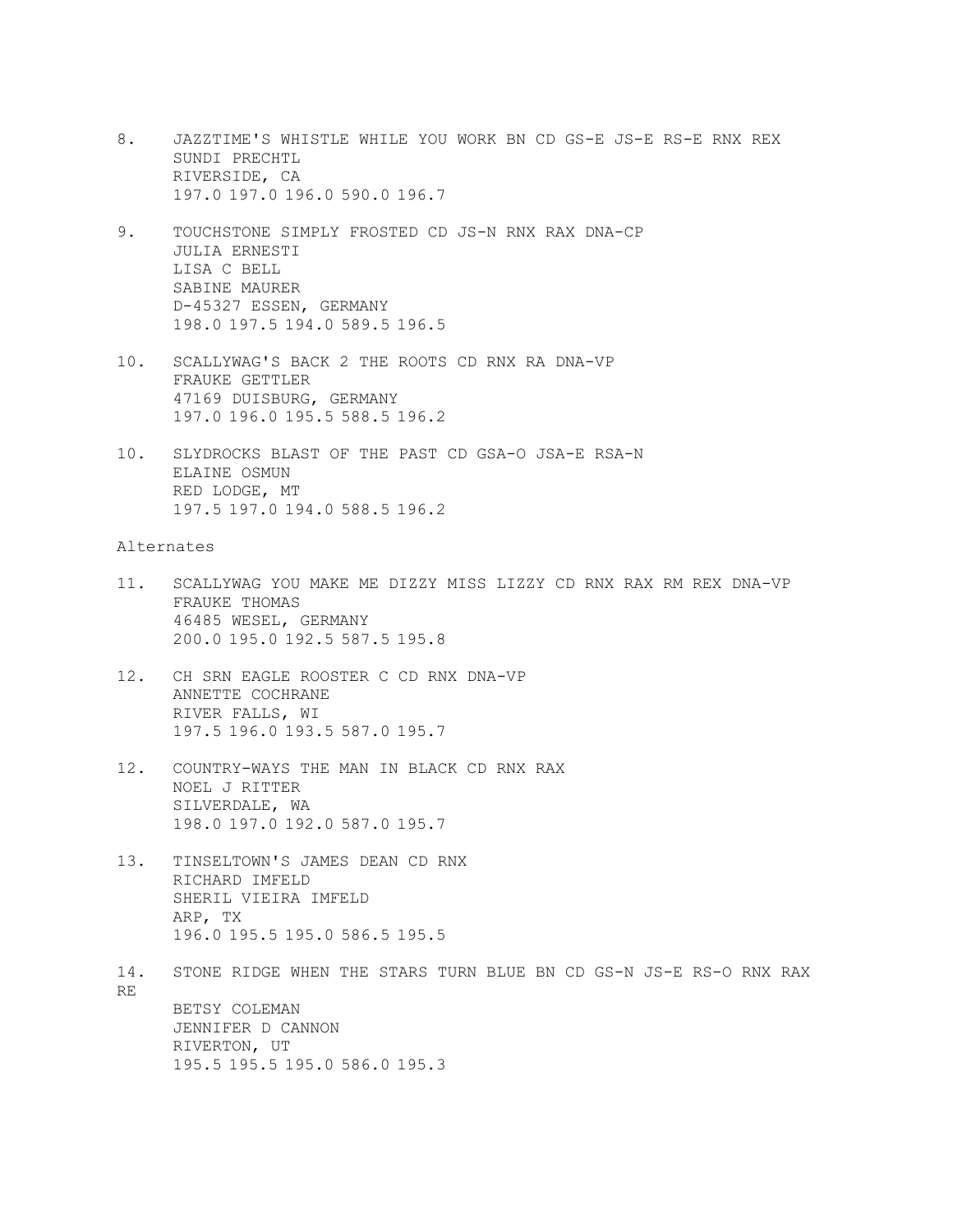- 8. JAZZTIME'S WHISTLE WHILE YOU WORK BN CD GS-E JS-E RS-E RNX REX SUNDI PRECHTL RIVERSIDE, CA 197.0 197.0 196.0 590.0 196.7
- 9. TOUCHSTONE SIMPLY FROSTED CD JS-N RNX RAX DNA-CP JULIA ERNESTI LISA C BELL SABINE MAURER D-45327 ESSEN, GERMANY 198.0 197.5 194.0 589.5 196.5
- 10. SCALLYWAG'S BACK 2 THE ROOTS CD RNX RA DNA-VP FRAUKE GETTLER 47169 DUISBURG, GERMANY 197.0 196.0 195.5 588.5 196.2
- 10. SLYDROCKS BLAST OF THE PAST CD GSA-O JSA-E RSA-N ELAINE OSMUN RED LODGE, MT 197.5 197.0 194.0 588.5 196.2

## Alternates

- 11. SCALLYWAG YOU MAKE ME DIZZY MISS LIZZY CD RNX RAX RM REX DNA-VP FRAUKE THOMAS 46485 WESEL, GERMANY 200.0 195.0 192.5 587.5 195.8
- 12. CH SRN EAGLE ROOSTER C CD RNX DNA-VP ANNETTE COCHRANE RIVER FALLS, WI 197.5 196.0 193.5 587.0 195.7
- 12. COUNTRY-WAYS THE MAN IN BLACK CD RNX RAX NOEL J RITTER SILVERDALE, WA 198.0 197.0 192.0 587.0 195.7
- 13. TINSELTOWN'S JAMES DEAN CD RNX RICHARD IMFELD SHERIL VIEIRA IMFELD ARP, TX 196.0 195.5 195.0 586.5 195.5
- 14. STONE RIDGE WHEN THE STARS TURN BLUE BN CD GS-N JS-E RS-O RNX RAX RE BETSY COLEMAN JENNIFER D CANNON RIVERTON, UT 195.5 195.5 195.0 586.0 195.3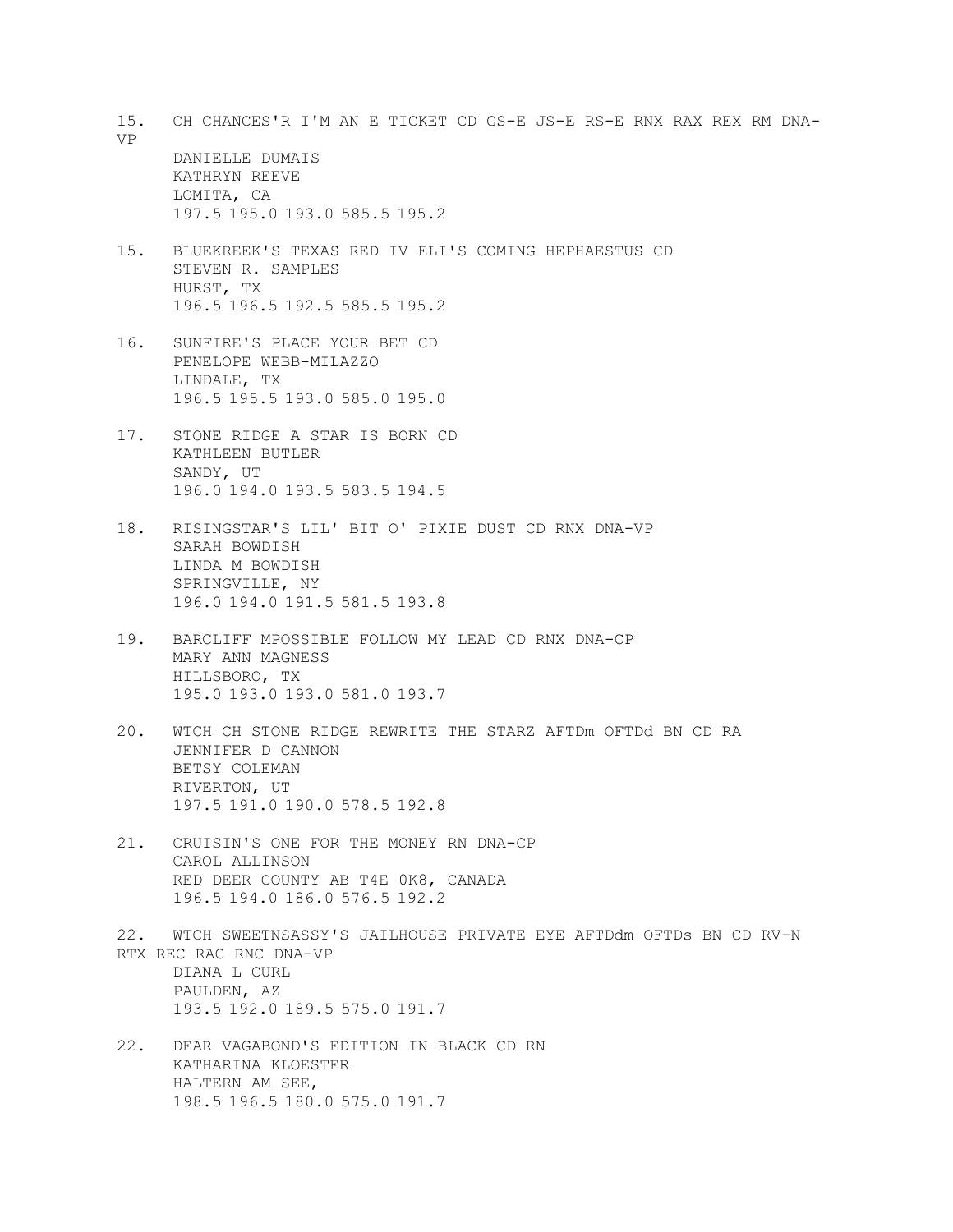15. CH CHANCES'R I'M AN E TICKET CD GS-E JS-E RS-E RNX RAX REX RM DNA-VP DANIELLE DUMAIS KATHRYN REEVE

LOMITA, CA 197.5 195.0 193.0 585.5 195.2

- 15. BLUEKREEK'S TEXAS RED IV ELI'S COMING HEPHAESTUS CD STEVEN R. SAMPLES HURST, TX 196.5 196.5 192.5 585.5 195.2
- 16. SUNFIRE'S PLACE YOUR BET CD PENELOPE WEBB-MILAZZO LINDALE, TX 196.5 195.5 193.0 585.0 195.0
- 17. STONE RIDGE A STAR IS BORN CD KATHLEEN BUTLER SANDY, UT 196.0 194.0 193.5 583.5 194.5
- 18. RISINGSTAR'S LIL' BIT O' PIXIE DUST CD RNX DNA-VP SARAH BOWDISH LINDA M BOWDISH SPRINGVILLE, NY 196.0 194.0 191.5 581.5 193.8
- 19. BARCLIFF MPOSSIBLE FOLLOW MY LEAD CD RNX DNA-CP MARY ANN MAGNESS HILLSBORO, TX 195.0 193.0 193.0 581.0 193.7
- 20. WTCH CH STONE RIDGE REWRITE THE STARZ AFTDm OFTDd BN CD RA JENNIFER D CANNON BETSY COLEMAN RIVERTON, UT 197.5 191.0 190.0 578.5 192.8
- 21. CRUISIN'S ONE FOR THE MONEY RN DNA-CP CAROL ALLINSON RED DEER COUNTY AB T4E 0K8, CANADA 196.5 194.0 186.0 576.5 192.2
- 22. WTCH SWEETNSASSY'S JAILHOUSE PRIVATE EYE AFTDdm OFTDs BN CD RV-N RTX REC RAC RNC DNA-VP DIANA L CURL PAULDEN, AZ 193.5 192.0 189.5 575.0 191.7
- 22. DEAR VAGABOND'S EDITION IN BLACK CD RN KATHARINA KLOESTER HALTERN AM SEE, 198.5 196.5 180.0 575.0 191.7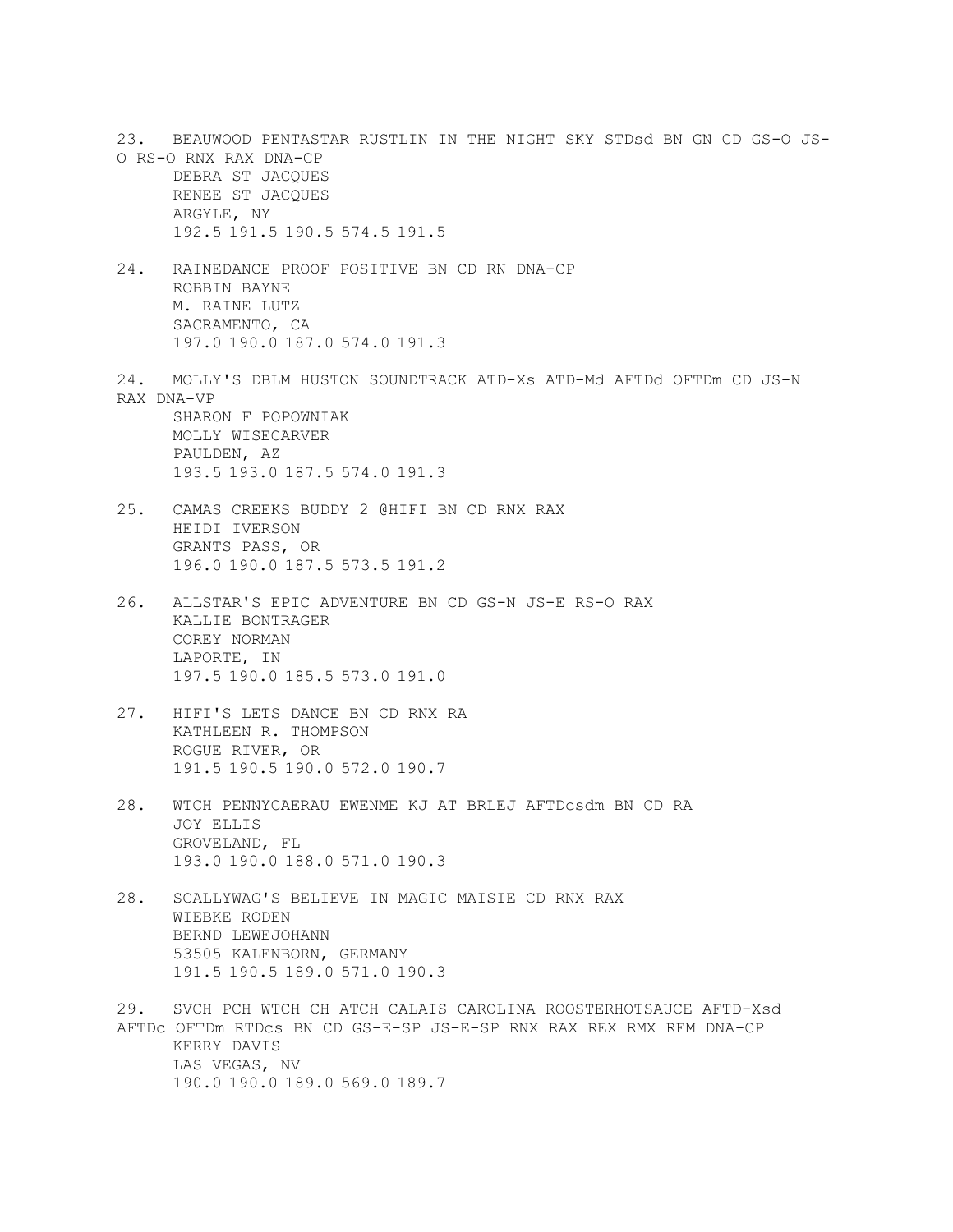23. BEAUWOOD PENTASTAR RUSTLIN IN THE NIGHT SKY STDsd BN GN CD GS-O JS-O RS-O RNX RAX DNA-CP DEBRA ST JACQUES RENEE ST JACQUES ARGYLE, NY 192.5 191.5 190.5 574.5 191.5 24. RAINEDANCE PROOF POSITIVE BN CD RN DNA-CP ROBBIN BAYNE M. RAINE LUTZ SACRAMENTO, CA 197.0 190.0 187.0 574.0 191.3 24. MOLLY'S DBLM HUSTON SOUNDTRACK ATD-Xs ATD-Md AFTDd OFTDm CD JS-N RAX DNA-VP SHARON F POPOWNIAK MOLLY WISECARVER PAULDEN, AZ 193.5 193.0 187.5 574.0 191.3 25. CAMAS CREEKS BUDDY 2 @HIFI BN CD RNX RAX HEIDI IVERSON GRANTS PASS, OR 196.0 190.0 187.5 573.5 191.2 26. ALLSTAR'S EPIC ADVENTURE BN CD GS-N JS-E RS-O RAX KALLIE BONTRAGER COREY NORMAN LAPORTE, IN 197.5 190.0 185.5 573.0 191.0 27. HIFI'S LETS DANCE BN CD RNX RA KATHLEEN R. THOMPSON ROGUE RIVER, OR 191.5 190.5 190.0 572.0 190.7 28. WTCH PENNYCAERAU EWENME KJ AT BRLEJ AFTDcsdm BN CD RA JOY ELLIS GROVELAND, FL 193.0 190.0 188.0 571.0 190.3 28. SCALLYWAG'S BELIEVE IN MAGIC MAISIE CD RNX RAX WIEBKE RODEN BERND LEWEJOHANN 53505 KALENBORN, GERMANY 191.5 190.5 189.0 571.0 190.3 29. SVCH PCH WTCH CH ATCH CALAIS CAROLINA ROOSTERHOTSAUCE AFTD-Xsd AFTDc OFTDm RTDcs BN CD GS-E-SP JS-E-SP RNX RAX REX RMX REM DNA-CP KERRY DAVIS

LAS VEGAS, NV 190.0 190.0 189.0 569.0 189.7